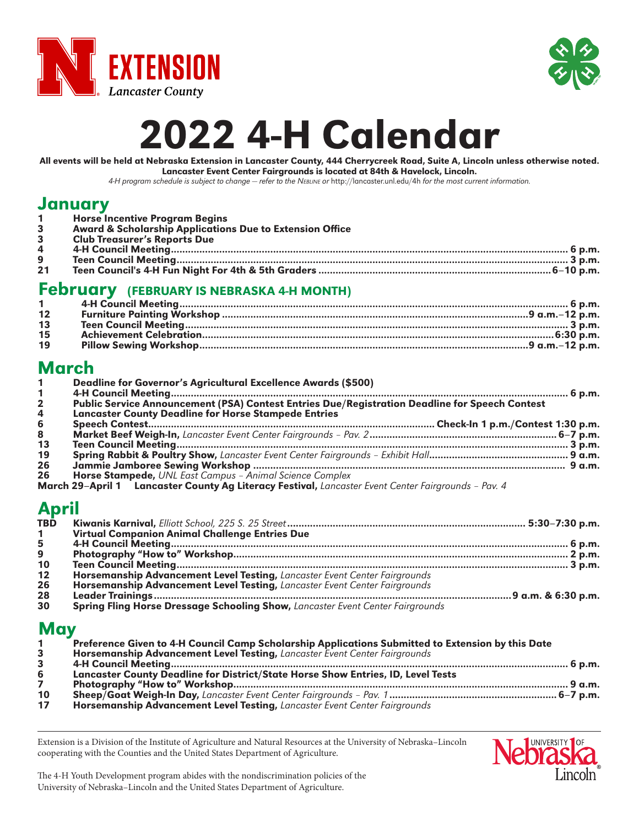



# 2022 4-H Calendar

All events will be held at Nebraska Extension in Lancaster County, 444 Cherrycreek Road, Suite A, Lincoln unless otherwise noted. Lancaster Event Center Fairgrounds is located at 84th & Havelock, Lincoln.

*4-H program schedule is subject to change — refer to the Nebline or* http://lancaster.unl.edu/4h *for the most current information.*

#### January

|                | 1 Horse Incentive Program Begins                                                                                                                                                                                                  |
|----------------|-----------------------------------------------------------------------------------------------------------------------------------------------------------------------------------------------------------------------------------|
| 3 <sup>1</sup> | <b>Award &amp; Scholarship Applications Due to Extension Office</b>                                                                                                                                                               |
| 3              | <b>Club Treasurer's Reports Due</b>                                                                                                                                                                                               |
| 4              |                                                                                                                                                                                                                                   |
| 9              |                                                                                                                                                                                                                                   |
| 21             |                                                                                                                                                                                                                                   |
|                | $\Gamma$ a la material de de la material de la material de la material de la material de la material de la material de la material de la material de la material de la material de la material de la material de la material de l |

#### February (FEBRUARY IS NEBRASKA 4-H MONTH)

| 12<br>13<br>15 |  |  |
|----------------|--|--|
|                |  |  |
|                |  |  |
|                |  |  |
| 19             |  |  |

## March

|              | Deadline for Governor's Agricultural Excellence Awards (\$500)                                      |  |
|--------------|-----------------------------------------------------------------------------------------------------|--|
| $\mathbf{2}$ | Public Service Announcement (PSA) Contest Entries Due/Registration Deadline for Speech Contest      |  |
| 4            | <b>Lancaster County Deadline for Horse Stampede Entries</b>                                         |  |
| 6            |                                                                                                     |  |
| 8            |                                                                                                     |  |
| 13           |                                                                                                     |  |
| 19           |                                                                                                     |  |
| 26           |                                                                                                     |  |
| 26           | Horse Stampede, UNL East Campus - Animal Science Complex                                            |  |
|              | March 29-April 1 Lancaster County Ag Literacy Festival, Lancaster Event Center Fairgrounds - Pav. 4 |  |

# April

| <b>TBD</b>   |                                                                                |  |
|--------------|--------------------------------------------------------------------------------|--|
| $\mathbf{1}$ | <b>Virtual Companion Animal Challenge Entries Due</b>                          |  |
| 5            |                                                                                |  |
| 9            |                                                                                |  |
| 10           |                                                                                |  |
| $12$         | Horsemanship Advancement Level Testing, Lancaster Event Center Fairgrounds     |  |
| 26           | Horsemanship Advancement Level Testing, Lancaster Event Center Fairgrounds     |  |
| 28           |                                                                                |  |
| 30           | Spring Fling Horse Dressage Schooling Show, Lancaster Event Center Fairgrounds |  |

#### May

|    | Preference Given to 4-H Council Camp Scholarship Applications Submitted to Extension by this Date |  |
|----|---------------------------------------------------------------------------------------------------|--|
|    | Horsemanship Advancement Level Testing, Lancaster Event Center Fairgrounds                        |  |
|    |                                                                                                   |  |
| 6  | Lancaster County Deadline for District/State Horse Show Entries, ID, Level Tests                  |  |
|    |                                                                                                   |  |
| 10 |                                                                                                   |  |
|    |                                                                                                   |  |

Extension is a Division of the Institute of Agriculture and Natural Resources at the University of Nebraska–Lincoln cooperating with the Counties and the United States Department of Agriculture.



The 4-H Youth Development program abides with the nondiscrimination policies of the University of Nebraska–Lincoln and the United States Department of Agriculture.